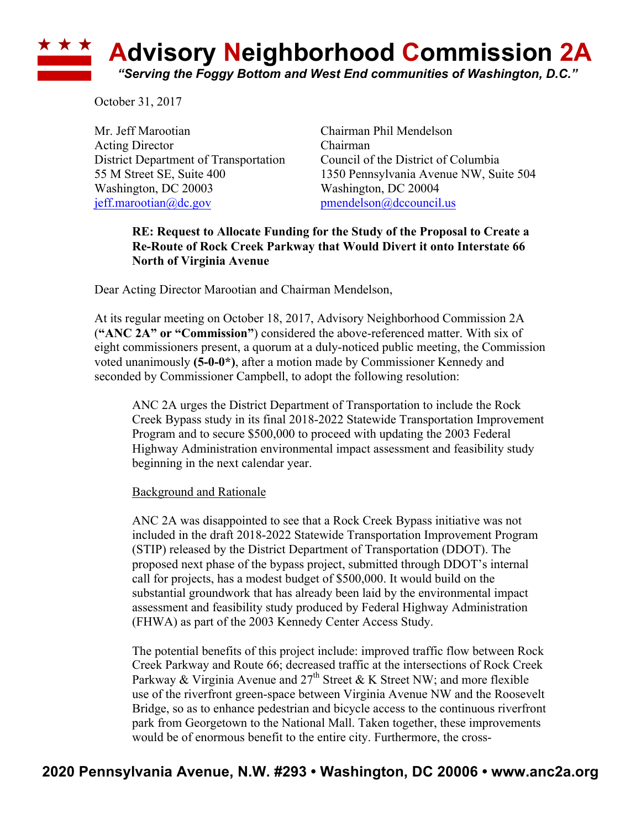## **<u><b>Advisory Neighborhood Commission 2A**</u> *"Serving the Foggy Bottom and West End communities of Washington, D.C."*

October 31, 2017

Mr. Jeff Marootian Chairman Phil Mendelson Acting Director Chairman District Department of Transportation Council of the District of Columbia Washington, DC 20003 Washington, DC 20004 jeff.marootian@dc.gov pmendelson@dccouncil.us

55 M Street SE, Suite 400 1350 Pennsylvania Avenue NW, Suite 504

## **RE: Request to Allocate Funding for the Study of the Proposal to Create a Re-Route of Rock Creek Parkway that Would Divert it onto Interstate 66 North of Virginia Avenue**

Dear Acting Director Marootian and Chairman Mendelson,

At its regular meeting on October 18, 2017, Advisory Neighborhood Commission 2A (**"ANC 2A" or "Commission"**) considered the above-referenced matter. With six of eight commissioners present, a quorum at a duly-noticed public meeting, the Commission voted unanimously **(5-0-0\*)**, after a motion made by Commissioner Kennedy and seconded by Commissioner Campbell, to adopt the following resolution:

ANC 2A urges the District Department of Transportation to include the Rock Creek Bypass study in its final 2018-2022 Statewide Transportation Improvement Program and to secure \$500,000 to proceed with updating the 2003 Federal Highway Administration environmental impact assessment and feasibility study beginning in the next calendar year.

## Background and Rationale

ANC 2A was disappointed to see that a Rock Creek Bypass initiative was not included in the draft 2018-2022 Statewide Transportation Improvement Program (STIP) released by the District Department of Transportation (DDOT). The proposed next phase of the bypass project, submitted through DDOT's internal call for projects, has a modest budget of \$500,000. It would build on the substantial groundwork that has already been laid by the environmental impact assessment and feasibility study produced by Federal Highway Administration (FHWA) as part of the 2003 Kennedy Center Access Study.

The potential benefits of this project include: improved traffic flow between Rock Creek Parkway and Route 66; decreased traffic at the intersections of Rock Creek Parkway & Virginia Avenue and  $27<sup>th</sup>$  Street & K Street NW; and more flexible use of the riverfront green-space between Virginia Avenue NW and the Roosevelt Bridge, so as to enhance pedestrian and bicycle access to the continuous riverfront park from Georgetown to the National Mall. Taken together, these improvements would be of enormous benefit to the entire city. Furthermore, the cross-